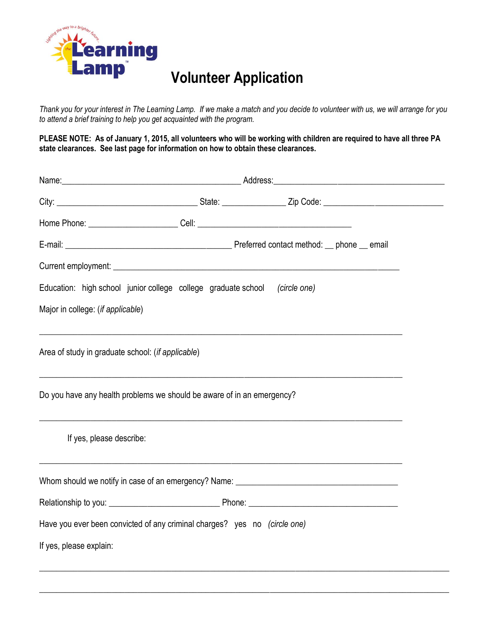

## **Volunteer Application**

*Thank you for your interest in The Learning Lamp. If we make a match and you decide to volunteer with us, we will arrange for you to attend a brief training to help you get acquainted with the program.* 

**PLEASE NOTE: As of January 1, 2015, all volunteers who will be working with children are required to have all three PA state clearances. See last page for information on how to obtain these clearances.**

|                                                                            | Name: Name: 2008. Address: 2008. Address: 2008. Address: 2008. Address: 2008. Address: 2008. Address: 2008. Address: 2008. Address: 2008. Address: 2008. Address: 2008. Address: 2008. Address: 2008. Address: 2008. Address: |                                                                                                                      |  |
|----------------------------------------------------------------------------|-------------------------------------------------------------------------------------------------------------------------------------------------------------------------------------------------------------------------------|----------------------------------------------------------------------------------------------------------------------|--|
|                                                                            |                                                                                                                                                                                                                               |                                                                                                                      |  |
|                                                                            |                                                                                                                                                                                                                               |                                                                                                                      |  |
|                                                                            |                                                                                                                                                                                                                               |                                                                                                                      |  |
|                                                                            |                                                                                                                                                                                                                               |                                                                                                                      |  |
| Education: high school junior college college graduate school (circle one) |                                                                                                                                                                                                                               |                                                                                                                      |  |
| Major in college: (if applicable)                                          |                                                                                                                                                                                                                               |                                                                                                                      |  |
|                                                                            |                                                                                                                                                                                                                               |                                                                                                                      |  |
| Area of study in graduate school: (if applicable)                          |                                                                                                                                                                                                                               |                                                                                                                      |  |
|                                                                            |                                                                                                                                                                                                                               | ,我们也不能在这里的时候,我们也不能在这里的时候,我们也不能在这里的时候,我们也不能会在这里的时候,我们也不能会在这里的时候,我们也不能会在这里的时候,我们也不                                     |  |
| Do you have any health problems we should be aware of in an emergency?     |                                                                                                                                                                                                                               |                                                                                                                      |  |
|                                                                            |                                                                                                                                                                                                                               |                                                                                                                      |  |
| If yes, please describe:                                                   |                                                                                                                                                                                                                               |                                                                                                                      |  |
|                                                                            |                                                                                                                                                                                                                               | <u> 1989 - Jan James James James James James James James James James James James James James James James James J</u> |  |
|                                                                            |                                                                                                                                                                                                                               |                                                                                                                      |  |
|                                                                            |                                                                                                                                                                                                                               |                                                                                                                      |  |
| Have you ever been convicted of any criminal charges? yes no (circle one)  |                                                                                                                                                                                                                               |                                                                                                                      |  |
| If yes, please explain:                                                    |                                                                                                                                                                                                                               |                                                                                                                      |  |
|                                                                            |                                                                                                                                                                                                                               |                                                                                                                      |  |

\_\_\_\_\_\_\_\_\_\_\_\_\_\_\_\_\_\_\_\_\_\_\_\_\_\_\_\_\_\_\_\_\_\_\_\_\_\_\_\_\_\_\_\_\_\_\_\_\_\_\_\_\_\_\_\_\_\_\_\_\_\_\_\_\_\_\_\_\_\_\_\_\_\_\_\_\_\_\_\_\_\_\_\_\_\_\_\_\_\_\_\_\_\_\_\_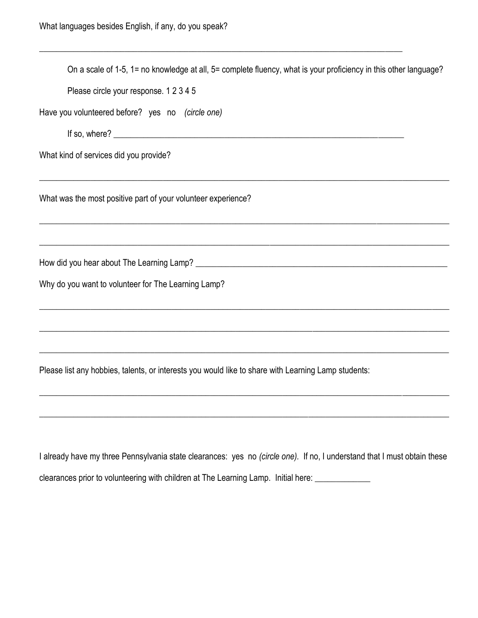| On a scale of 1-5, 1= no knowledge at all, 5= complete fluency, what is your proficiency in this other language?         |
|--------------------------------------------------------------------------------------------------------------------------|
| Please circle your response. 1 2 3 4 5                                                                                   |
| Have you volunteered before? yes no (circle one)                                                                         |
|                                                                                                                          |
| What kind of services did you provide?                                                                                   |
| What was the most positive part of your volunteer experience?                                                            |
|                                                                                                                          |
| Why do you want to volunteer for The Learning Lamp?                                                                      |
|                                                                                                                          |
| Please list any hobbies, talents, or interests you would like to share with Learning Lamp students:                      |
|                                                                                                                          |
| I already have my three Pennsylvania state clearances: yes no (circle one). If no, I understand that I must obtain these |

clearances prior to volunteering with children at The Learning Lamp. Initial here: \_\_\_\_\_\_\_\_\_\_\_\_\_\_